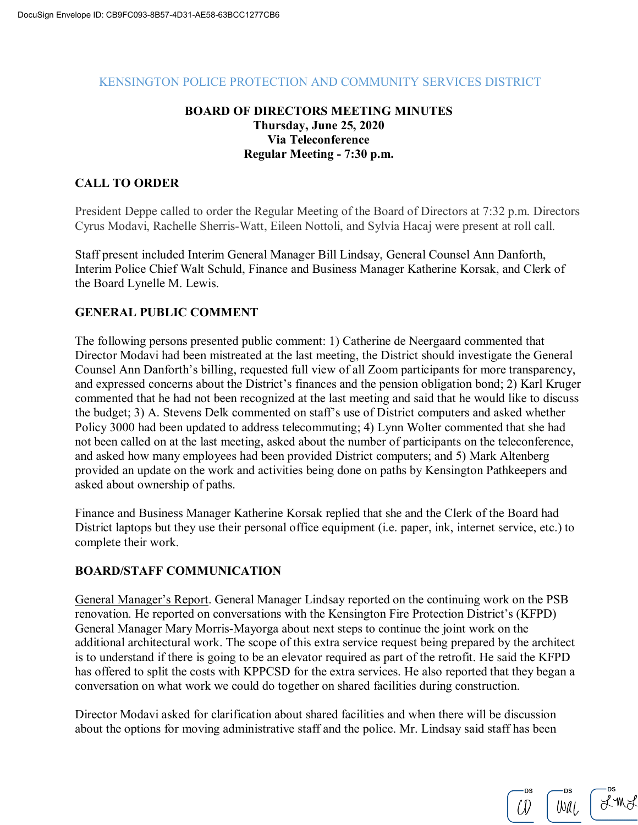#### KENSINGTON POLICE PROTECTION AND COMMUNITY SERVICES DISTRICT

## **BOARD OF DIRECTORS MEETING MINUTES Thursday, June 25, 2020 Via Teleconference Regular Meeting - 7:30 p.m.**

## **CALL TO ORDER**

President Deppe called to order the Regular Meeting of the Board of Directors at 7:32 p.m. Directors Cyrus Modavi, Rachelle Sherris-Watt, Eileen Nottoli, and Sylvia Hacaj were present at roll call.

Staff present included Interim General Manager Bill Lindsay, General Counsel Ann Danforth, Interim Police Chief Walt Schuld, Finance and Business Manager Katherine Korsak, and Clerk of the Board Lynelle M. Lewis.

## **GENERAL PUBLIC COMMENT**

The following persons presented public comment: 1) Catherine de Neergaard commented that Director Modavi had been mistreated at the last meeting, the District should investigate the General Counsel Ann Danforth's billing, requested full view of all Zoom participants for more transparency, and expressed concerns about the District's finances and the pension obligation bond; 2) Karl Kruger commented that he had not been recognized at the last meeting and said that he would like to discuss the budget; 3) A. Stevens Delk commented on staff's use of District computers and asked whether Policy 3000 had been updated to address telecommuting; 4) Lynn Wolter commented that she had not been called on at the last meeting, asked about the number of participants on the teleconference, and asked how many employees had been provided District computers; and 5) Mark Altenberg provided an update on the work and activities being done on paths by Kensington Pathkeepers and asked about ownership of paths.

Finance and Business Manager Katherine Korsak replied that she and the Clerk of the Board had District laptops but they use their personal office equipment (i.e. paper, ink, internet service, etc.) to complete their work.

#### **BOARD/STAFF COMMUNICATION**

General Manager's Report. General Manager Lindsay reported on the continuing work on the PSB renovation. He reported on conversations with the Kensington Fire Protection District's (KFPD) General Manager Mary Morris-Mayorga about next steps to continue the joint work on the additional architectural work. The scope of this extra service request being prepared by the architect is to understand if there is going to be an elevator required as part of the retrofit. He said the KFPD has offered to split the costs with KPPCSD for the extra services. He also reported that they began a conversation on what work we could do together on shared facilities during construction.

Director Modavi asked for clarification about shared facilities and when there will be discussion about the options for moving administrative staff and the police. Mr. Lindsay said staff has been

LING  $Wall$  $\hat{U}$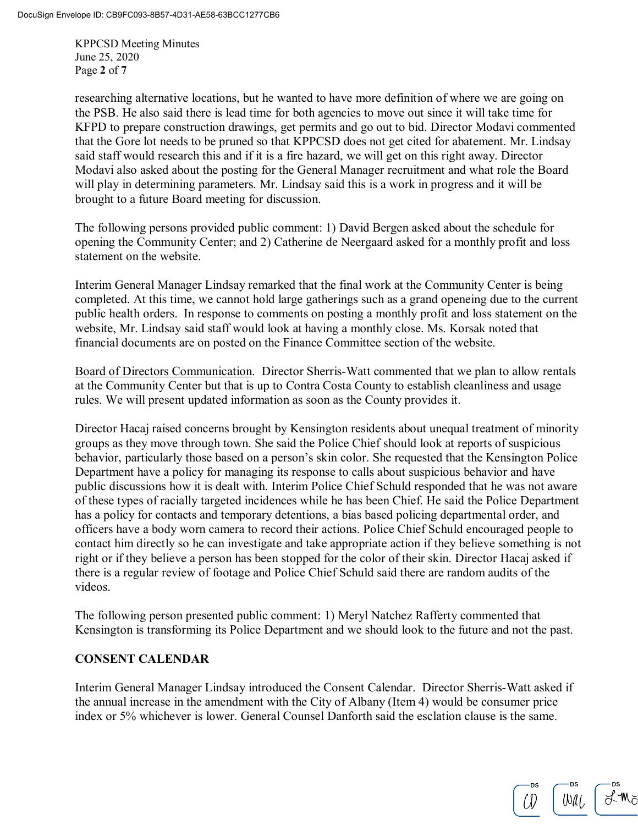KPPCSD Meeting Minutes June 25, 2020 Page **2** of **7**

researching alternative locations, but he wanted to have more definition of where we are going on the PSB. He also said there is lead time for both agencies to move out since it will take time for KFPD to prepare construction drawings, get permits and go out to bid. Director Modavi commented that the Gore lot needs to be pruned so that KPPCSD does not get cited for abatement. Mr. Lindsay said staff would research this and if it is a fire hazard, we will get on this right away. Director Modavi also asked about the posting for the General Manager recruitment and what role the Board will play in determining parameters. Mr. Lindsay said this is a work in progress and it will be brought to a future Board meeting for discussion.

The following persons provided public comment: 1) David Bergen asked about the schedule for opening the Community Center; and 2) Catherine de Neergaard asked for a monthly profit and loss statement on the website.

Interim General Manager Lindsay remarked that the final work at the Community Center is being completed. At this time, we cannot hold large gatherings such as a grand openeing due to the current public health orders. In response to comments on posting a monthly profit and loss statement on the website, Mr. Lindsay said staff would look at having a monthly close. Ms. Korsak noted that financial documents are on posted on the Finance Committee section of the website.

Board of Directors Communication. Director Sherris-Watt commented that we plan to allow rentals at the Community Center but that is up to Contra Costa County to establish cleanliness and usage rules. We will present updated information as soon as the County provides it.

Director Hacaj raised concerns brought by Kensington residents about unequal treatment of minority groups as they move through town. She said the Police Chief should look at reports of suspicious behavior, particularly those based on a person's skin color. She requested that the Kensington Police Department have a policy for managing its response to calls about suspicious behavior and have public discussions how it is dealt with. Interim Police Chief Schuld responded that he was not aware of these types of racially targeted incidences while he has been Chief. He said the Police Department has a policy for contacts and temporary detentions, a bias based policing departmental order, and officers have a body worn camera to record their actions. Police Chief Schuld encouraged people to contact him directly so he can investigate and take appropriate action if they believe something is not right or if they believe a person has been stopped for the color of their skin. Director Hacaj asked if there is a regular review of footage and Police Chief Schuld said there are random audits of the videos.

The following person presented public comment: 1) Meryl Natchez Rafferty commented that Kensington is transforming its Police Department and we should look to the future and not the past.

## **CONSENT CALENDAR**

Interim General Manager Lindsay introduced the Consent Calendar. Director Sherris-Watt asked if the annual increase in the amendment with the City of Albany (Item 4) would be consumer price index or 5% whichever is lower. General Counsel Danforth said the esclation clause is the same.

 $H^*M$  $Wall$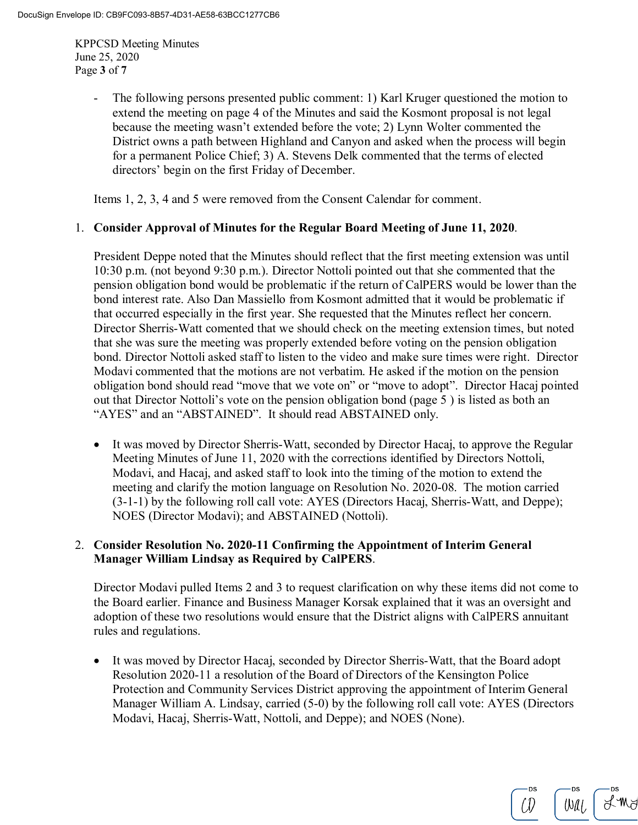KPPCSD Meeting Minutes June 25, 2020 Page **3** of **7**

> The following persons presented public comment: 1) Karl Kruger questioned the motion to extend the meeting on page 4 of the Minutes and said the Kosmont proposal is not legal because the meeting wasn't extended before the vote; 2) Lynn Wolter commented the District owns a path between Highland and Canyon and asked when the process will begin for a permanent Police Chief; 3) A. Stevens Delk commented that the terms of elected directors' begin on the first Friday of December.

Items 1, 2, 3, 4 and 5 were removed from the Consent Calendar for comment.

#### 1. **Consider Approval of Minutes for the Regular Board Meeting of June 11, 2020**.

President Deppe noted that the Minutes should reflect that the first meeting extension was until 10:30 p.m. (not beyond 9:30 p.m.). Director Nottoli pointed out that she commented that the pension obligation bond would be problematic if the return of CalPERS would be lower than the bond interest rate. Also Dan Massiello from Kosmont admitted that it would be problematic if that occurred especially in the first year. She requested that the Minutes reflect her concern. Director Sherris-Watt comented that we should check on the meeting extension times, but noted that she was sure the meeting was properly extended before voting on the pension obligation bond. Director Nottoli asked staff to listen to the video and make sure times were right. Director Modavi commented that the motions are not verbatim. He asked if the motion on the pension obligation bond should read "move that we vote on" or "move to adopt". Director Hacaj pointed out that Director Nottoli's vote on the pension obligation bond (page 5 ) is listed as both an "AYES" and an "ABSTAINED". It should read ABSTAINED only.

• It was moved by Director Sherris-Watt, seconded by Director Hacaj, to approve the Regular Meeting Minutes of June 11, 2020 with the corrections identified by Directors Nottoli, Modavi, and Hacaj, and asked staff to look into the timing of the motion to extend the meeting and clarify the motion language on Resolution No. 2020-08. The motion carried (3-1-1) by the following roll call vote: AYES (Directors Hacaj, Sherris-Watt, and Deppe); NOES (Director Modavi); and ABSTAINED (Nottoli).

## 2. **Consider Resolution No. 2020-11 Confirming the Appointment of Interim General Manager William Lindsay as Required by CalPERS**.

Director Modavi pulled Items 2 and 3 to request clarification on why these items did not come to the Board earlier. Finance and Business Manager Korsak explained that it was an oversight and adoption of these two resolutions would ensure that the District aligns with CalPERS annuitant rules and regulations.

• It was moved by Director Hacaj, seconded by Director Sherris-Watt, that the Board adopt Resolution 2020-11 a resolution of the Board of Directors of the Kensington Police Protection and Community Services District approving the appointment of Interim General Manager William A. Lindsay, carried (5-0) by the following roll call vote: AYES (Directors Modavi, Hacaj, Sherris-Watt, Nottoli, and Deppe); and NOES (None).

 $\cancel{\sim}$   $\mathbb{M}$ 

Wal,

(I)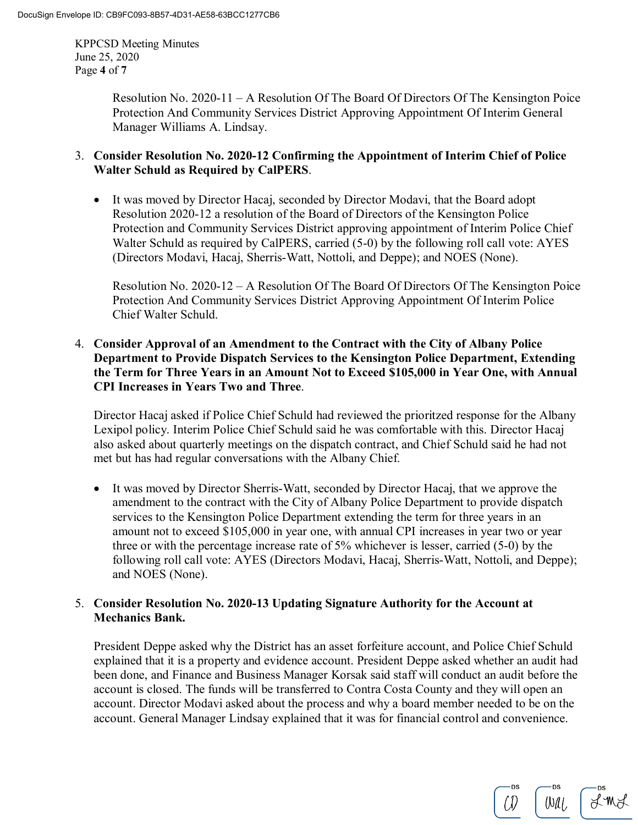KPPCSD Meeting Minutes June 25, 2020 Page **4** of **7**

> Resolution No. 2020-11 – A Resolution Of The Board Of Directors Of The Kensington Poice Protection And Community Services District Approving Appointment Of Interim General Manager Williams A. Lindsay.

## 3. **Consider Resolution No. 2020-12 Confirming the Appointment of Interim Chief of Police Walter Schuld as Required by CalPERS**.

• It was moved by Director Hacaj, seconded by Director Modavi, that the Board adopt Resolution 2020-12 a resolution of the Board of Directors of the Kensington Police Protection and Community Services District approving appointment of Interim Police Chief Walter Schuld as required by CalPERS, carried (5-0) by the following roll call vote: AYES (Directors Modavi, Hacaj, Sherris-Watt, Nottoli, and Deppe); and NOES (None).

Resolution No. 2020-12 – A Resolution Of The Board Of Directors Of The Kensington Poice Protection And Community Services District Approving Appointment Of Interim Police Chief Walter Schuld.

## 4. **Consider Approval of an Amendment to the Contract with the City of Albany Police Department to Provide Dispatch Services to the Kensington Police Department, Extending the Term for Three Years in an Amount Not to Exceed \$105,000 in Year One, with Annual CPI Increases in Years Two and Three**.

Director Hacaj asked if Police Chief Schuld had reviewed the prioritzed response for the Albany Lexipol policy. Interim Police Chief Schuld said he was comfortable with this. Director Hacaj also asked about quarterly meetings on the dispatch contract, and Chief Schuld said he had not met but has had regular conversations with the Albany Chief.

• It was moved by Director Sherris-Watt, seconded by Director Hacaj, that we approve the amendment to the contract with the City of Albany Police Department to provide dispatch services to the Kensington Police Department extending the term for three years in an amount not to exceed \$105,000 in year one, with annual CPI increases in year two or year three or with the percentage increase rate of 5% whichever is lesser, carried (5-0) by the following roll call vote: AYES (Directors Modavi, Hacaj, Sherris-Watt, Nottoli, and Deppe); and NOES (None).

## 5. **Consider Resolution No. 2020-13 Updating Signature Authority for the Account at Mechanics Bank.**

President Deppe asked why the District has an asset forfeiture account, and Police Chief Schuld explained that it is a property and evidence account. President Deppe asked whether an audit had been done, and Finance and Business Manager Korsak said staff will conduct an audit before the account is closed. The funds will be transferred to Contra Costa County and they will open an account. Director Modavi asked about the process and why a board member needed to be on the account. General Manager Lindsay explained that it was for financial control and convenience.

Lind  $WU$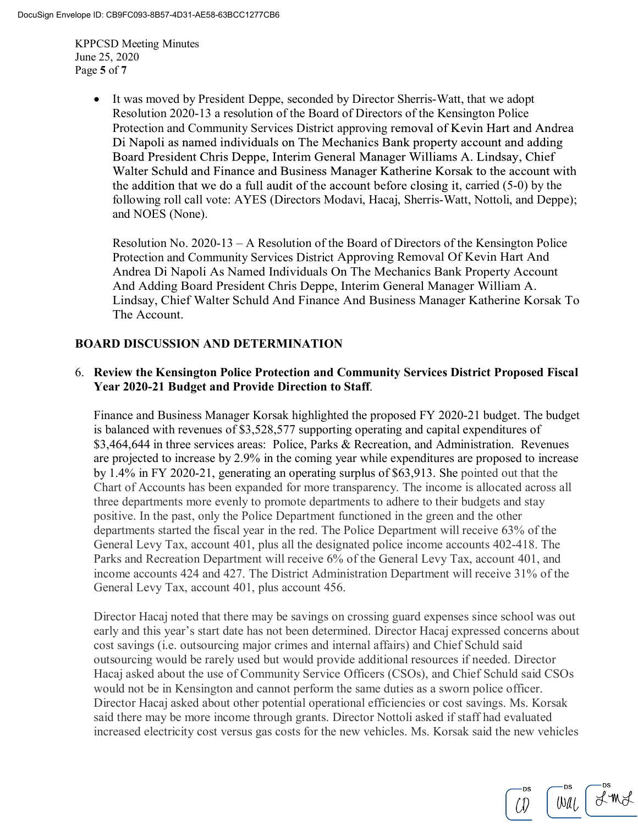KPPCSD Meeting Minutes June 25, 2020 Page **5** of **7**

> It was moved by President Deppe, seconded by Director Sherris-Watt, that we adopt Resolution 2020-13 a resolution of the Board of Directors of the Kensington Police Protection and Community Services District approving removal of Kevin Hart and Andrea Di Napoli as named individuals on The Mechanics Bank property account and adding Board President Chris Deppe, Interim General Manager Williams A. Lindsay, Chief Walter Schuld and Finance and Business Manager Katherine Korsak to the account with the addition that we do a full audit of the account before closing it, carried  $(5-0)$  by the following roll call vote: AYES (Directors Modavi, Hacaj, Sherris-Watt, Nottoli, and Deppe); and NOES (None).

Resolution No. 2020-13 – A Resolution of the Board of Directors of the Kensington Police Protection and Community Services District Approving Removal Of Kevin Hart And Andrea Di Napoli As Named Individuals On The Mechanics Bank Property Account And Adding Board President Chris Deppe, Interim General Manager William A. Lindsay, Chief Walter Schuld And Finance And Business Manager Katherine Korsak To The Account.

# **BOARD DISCUSSION AND DETERMINATION**

## 6. **Review the Kensington Police Protection and Community Services District Proposed Fiscal Year 2020-21 Budget and Provide Direction to Staff**.

Finance and Business Manager Korsak highlighted the proposed FY 2020-21 budget. The budget is balanced with revenues of \$3,528,577 supporting operating and capital expenditures of \$3,464,644 in three services areas: Police, Parks & Recreation, and Administration. Revenues are projected to increase by 2.9% in the coming year while expenditures are proposed to increase by 1.4% in FY 2020-21, generating an operating surplus of \$63,913. She pointed out that the Chart of Accounts has been expanded for more transparency. The income is allocated across all three departments more evenly to promote departments to adhere to their budgets and stay positive. In the past, only the Police Department functioned in the green and the other departments started the fiscal year in the red. The Police Department will receive 63% of the General Levy Tax, account 401, plus all the designated police income accounts 402-418. The Parks and Recreation Department will receive 6% of the General Levy Tax, account 401, and income accounts 424 and 427. The District Administration Department will receive 31% of the General Levy Tax, account 401, plus account 456.

Director Hacaj noted that there may be savings on crossing guard expenses since school was out early and this year's start date has not been determined. Director Hacaj expressed concerns about cost savings (i.e. outsourcing major crimes and internal affairs) and Chief Schuld said outsourcing would be rarely used but would provide additional resources if needed. Director Hacaj asked about the use of Community Service Officers (CSOs), and Chief Schuld said CSOs would not be in Kensington and cannot perform the same duties as a sworn police officer. Director Hacaj asked about other potential operational efficiencies or cost savings. Ms. Korsak said there may be more income through grants. Director Nottoli asked if staff had evaluated increased electricity cost versus gas costs for the new vehicles. Ms. Korsak said the new vehicles

 $X^{\ast}M$  $[OM]$ (J)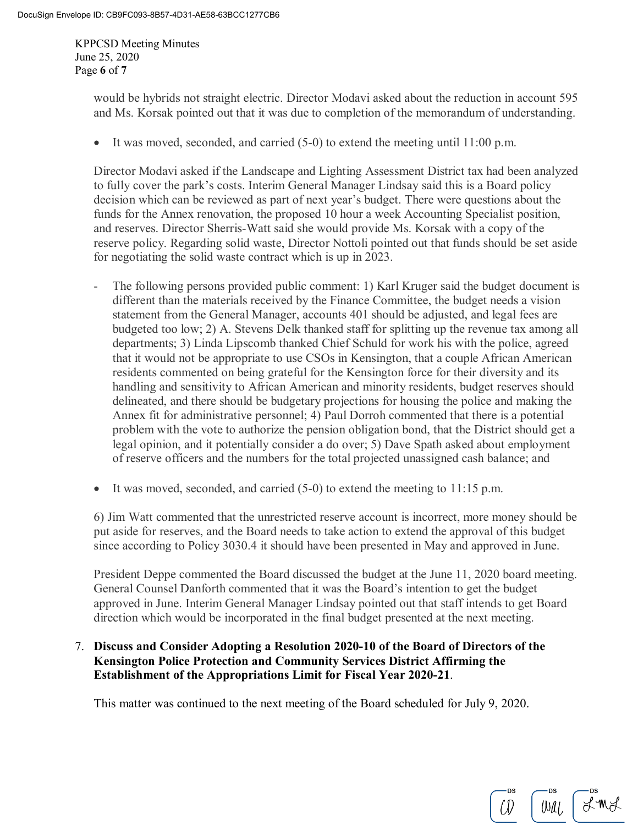KPPCSD Meeting Minutes June 25, 2020 Page **6** of **7**

> would be hybrids not straight electric. Director Modavi asked about the reduction in account 595 and Ms. Korsak pointed out that it was due to completion of the memorandum of understanding.

• It was moved, seconded, and carried (5-0) to extend the meeting until 11:00 p.m.

Director Modavi asked if the Landscape and Lighting Assessment District tax had been analyzed to fully cover the park's costs. Interim General Manager Lindsay said this is a Board policy decision which can be reviewed as part of next year's budget. There were questions about the funds for the Annex renovation, the proposed 10 hour a week Accounting Specialist position, and reserves. Director Sherris-Watt said she would provide Ms. Korsak with a copy of the reserve policy. Regarding solid waste, Director Nottoli pointed out that funds should be set aside for negotiating the solid waste contract which is up in 2023.

- The following persons provided public comment: 1) Karl Kruger said the budget document is different than the materials received by the Finance Committee, the budget needs a vision statement from the General Manager, accounts 401 should be adjusted, and legal fees are budgeted too low; 2) A. Stevens Delk thanked staff for splitting up the revenue tax among all departments; 3) Linda Lipscomb thanked Chief Schuld for work his with the police, agreed that it would not be appropriate to use CSOs in Kensington, that a couple African American residents commented on being grateful for the Kensington force for their diversity and its handling and sensitivity to African American and minority residents, budget reserves should delineated, and there should be budgetary projections for housing the police and making the Annex fit for administrative personnel; 4) Paul Dorroh commented that there is a potential problem with the vote to authorize the pension obligation bond, that the District should get a legal opinion, and it potentially consider a do over; 5) Dave Spath asked about employment of reserve officers and the numbers for the total projected unassigned cash balance; and
- It was moved, seconded, and carried  $(5-0)$  to extend the meeting to 11:15 p.m.

6) Jim Watt commented that the unrestricted reserve account is incorrect, more money should be put aside for reserves, and the Board needs to take action to extend the approval of this budget since according to Policy 3030.4 it should have been presented in May and approved in June.

President Deppe commented the Board discussed the budget at the June 11, 2020 board meeting. General Counsel Danforth commented that it was the Board's intention to get the budget approved in June. Interim General Manager Lindsay pointed out that staff intends to get Board direction which would be incorporated in the final budget presented at the next meeting.

LINL

 $W$ al

(J)

## 7. **Discuss and Consider Adopting a Resolution 2020-10 of the Board of Directors of the Kensington Police Protection and Community Services District Affirming the Establishment of the Appropriations Limit for Fiscal Year 2020-21**.

This matter was continued to the next meeting of the Board scheduled for July 9, 2020.